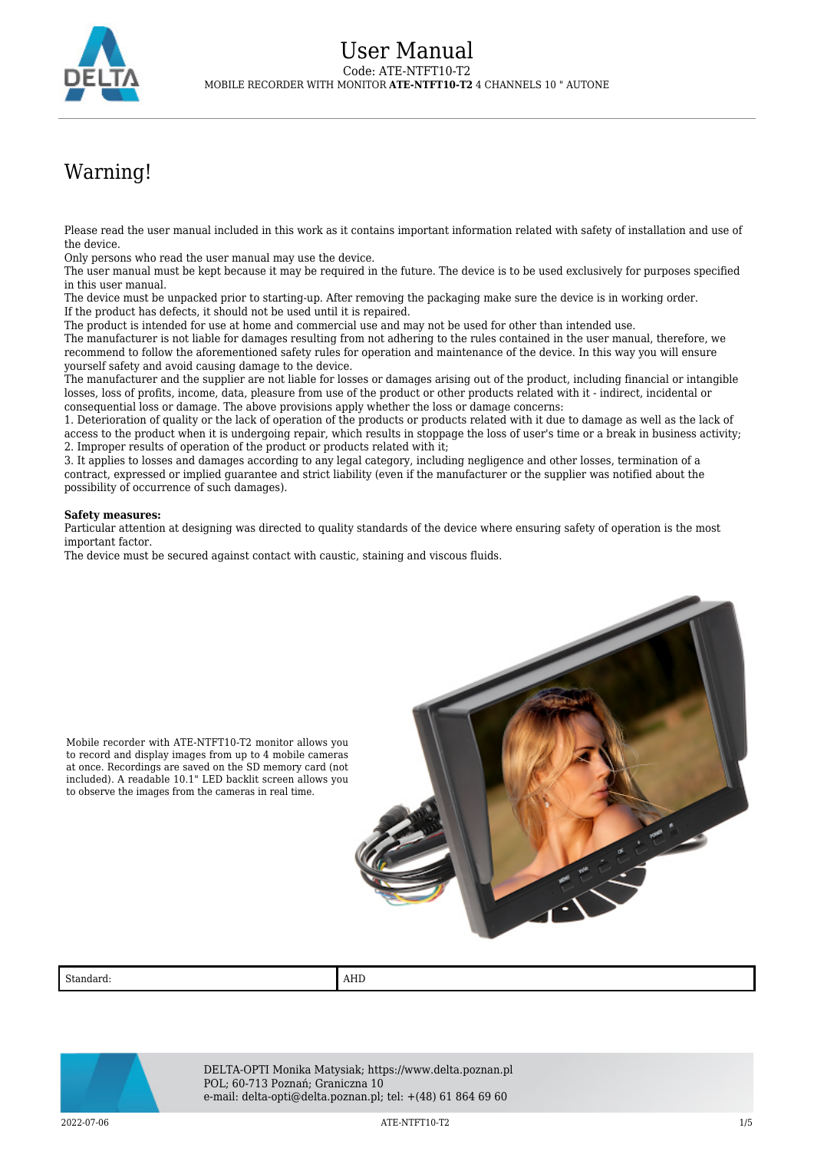

## Warning!

Please read the user manual included in this work as it contains important information related with safety of installation and use of the device.

Only persons who read the user manual may use the device.

The user manual must be kept because it may be required in the future. The device is to be used exclusively for purposes specified in this user manual.

The device must be unpacked prior to starting-up. After removing the packaging make sure the device is in working order. If the product has defects, it should not be used until it is repaired.

The product is intended for use at home and commercial use and may not be used for other than intended use.

The manufacturer is not liable for damages resulting from not adhering to the rules contained in the user manual, therefore, we recommend to follow the aforementioned safety rules for operation and maintenance of the device. In this way you will ensure yourself safety and avoid causing damage to the device.

The manufacturer and the supplier are not liable for losses or damages arising out of the product, including financial or intangible losses, loss of profits, income, data, pleasure from use of the product or other products related with it - indirect, incidental or consequential loss or damage. The above provisions apply whether the loss or damage concerns:

1. Deterioration of quality or the lack of operation of the products or products related with it due to damage as well as the lack of access to the product when it is undergoing repair, which results in stoppage the loss of user's time or a break in business activity; 2. Improper results of operation of the product or products related with it;

3. It applies to losses and damages according to any legal category, including negligence and other losses, termination of a contract, expressed or implied guarantee and strict liability (even if the manufacturer or the supplier was notified about the possibility of occurrence of such damages).

## **Safety measures:**

Particular attention at designing was directed to quality standards of the device where ensuring safety of operation is the most important factor.

The device must be secured against contact with caustic, staining and viscous fluids.



Mobile recorder with ATE-NTFT10-T2 monitor allows you to record and display images from up to 4 mobile cameras at once. Recordings are saved on the SD memory card (not included). A readable 10.1" LED backlit screen allows you to observe the images from the cameras in real time.

Standard: AHD



DELTA-OPTI Monika Matysiak; https://www.delta.poznan.pl POL; 60-713 Poznań; Graniczna 10 e-mail: delta-opti@delta.poznan.pl; tel: +(48) 61 864 69 60

2022-07-06 ATE-NTFT10-T2 1/5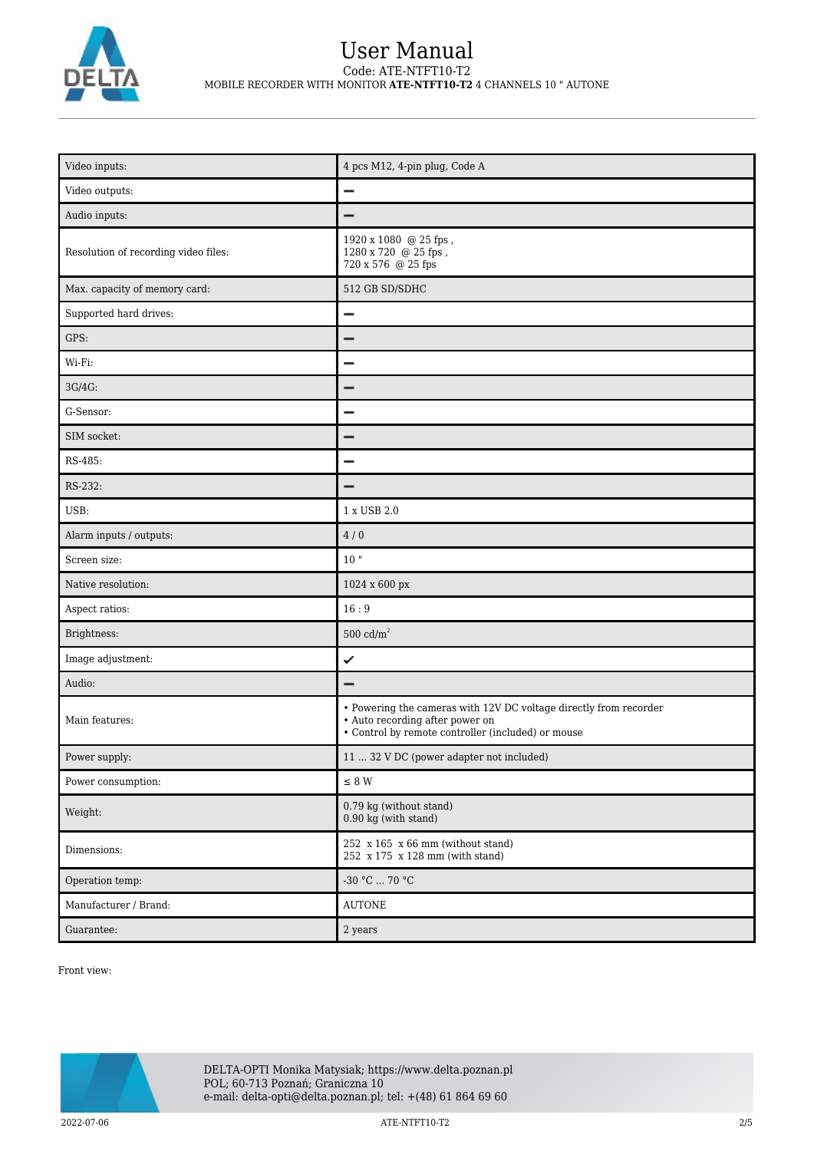

## User Manual Code: ATE-NTFT10-T2 MOBILE RECORDER WITH MONITOR **ATE-NTFT10-T2** 4 CHANNELS 10 " AUTONE

| Video inputs:                        | 4 pcs M12, 4-pin plug, Code A                                                                                                                              |
|--------------------------------------|------------------------------------------------------------------------------------------------------------------------------------------------------------|
| Video outputs:                       | -                                                                                                                                                          |
| Audio inputs:                        |                                                                                                                                                            |
| Resolution of recording video files: | 1920 x 1080 @ 25 fps,<br>1280 x 720 @ 25 fps,<br>720 x 576 @ 25 fps                                                                                        |
| Max. capacity of memory card:        | 512 GB SD/SDHC                                                                                                                                             |
| Supported hard drives:               | -                                                                                                                                                          |
| GPS:                                 |                                                                                                                                                            |
| Wi-Fi:                               |                                                                                                                                                            |
| 3G/4G:                               |                                                                                                                                                            |
| G-Sensor:                            |                                                                                                                                                            |
| SIM socket:                          |                                                                                                                                                            |
| RS-485:                              |                                                                                                                                                            |
| RS-232:                              |                                                                                                                                                            |
| USB:                                 | 1 x USB 2.0                                                                                                                                                |
| Alarm inputs / outputs:              | 4/0                                                                                                                                                        |
| Screen size:                         | $10$ "                                                                                                                                                     |
| Native resolution:                   | 1024 x 600 px                                                                                                                                              |
| Aspect ratios:                       | 16:9                                                                                                                                                       |
| Brightness:                          | $500 \text{ cd/m}^2$                                                                                                                                       |
| Image adjustment:                    | ✓                                                                                                                                                          |
| Audio:                               |                                                                                                                                                            |
| Main features:                       | • Powering the cameras with 12V DC voltage directly from recorder<br>• Auto recording after power on<br>• Control by remote controller (included) or mouse |
| Power supply:                        | 11  32 V DC (power adapter not included)                                                                                                                   |
| Power consumption:                   | $\leq$ 8 W                                                                                                                                                 |
| Weight:                              | 0.79 kg (without stand)<br>$0.90$ kg (with stand)                                                                                                          |
| Dimensions:                          | 252 x 165 x 66 mm (without stand)<br>252 x 175 x 128 mm (with stand)                                                                                       |
| Operation temp:                      | -30 °C  70 °C                                                                                                                                              |
| Manufacturer / Brand:                | <b>AUTONE</b>                                                                                                                                              |
| Guarantee:                           | 2 years                                                                                                                                                    |

Front view:

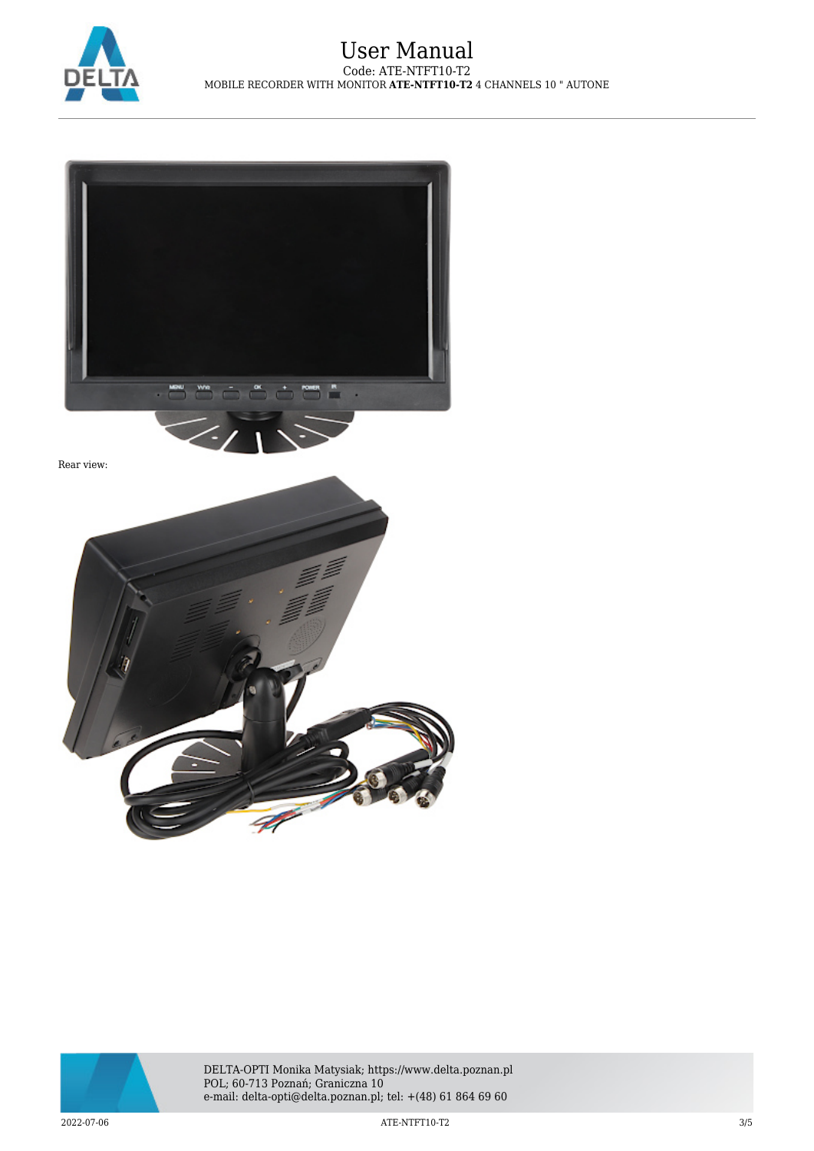







DELTA-OPTI Monika Matysiak; https://www.delta.poznan.pl POL; 60-713 Poznań; Graniczna 10 e-mail: delta-opti@delta.poznan.pl; tel: +(48) 61 864 69 60

2022-07-06 ATE-NTFT10-T2 3/5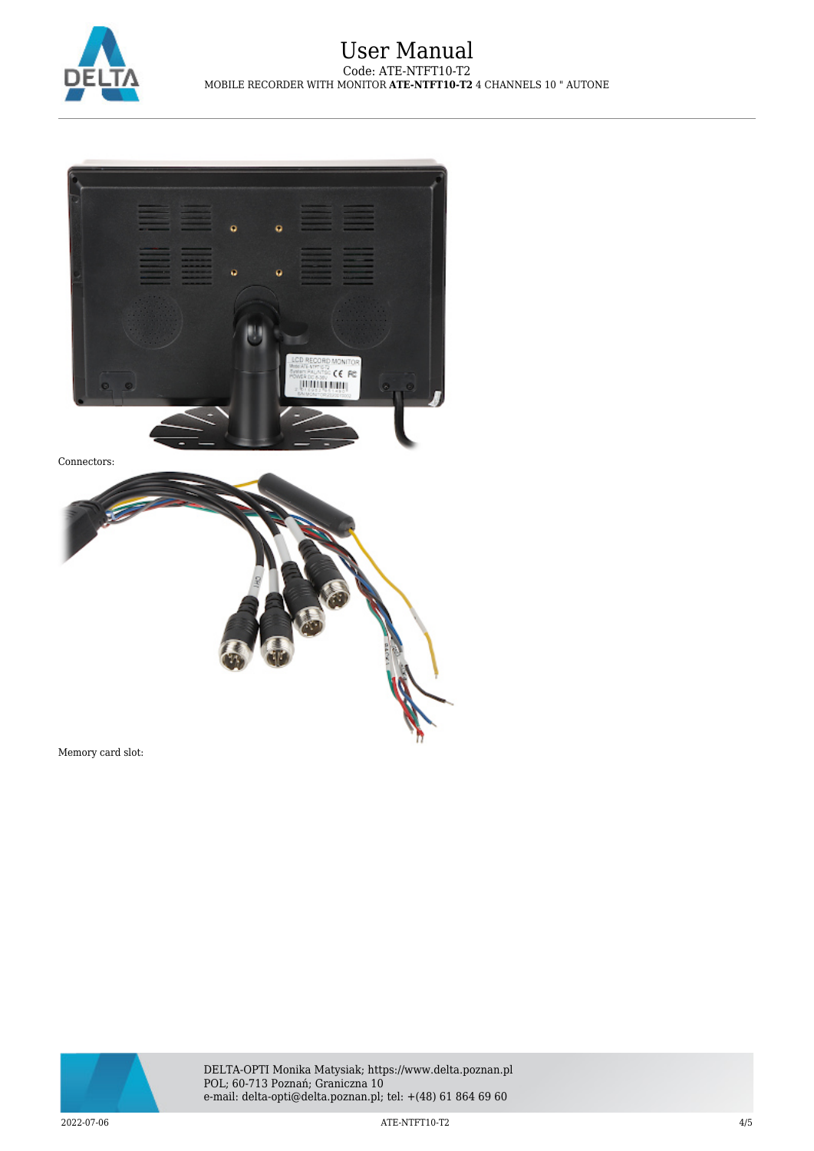



Memory card slot:



2022-07-06 ATE-NTFT10-T2 4/5